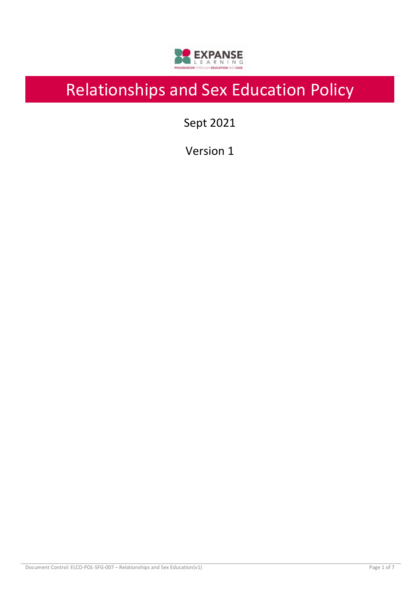

# Relationships and Sex Education Policy

Sept 2021

Version 1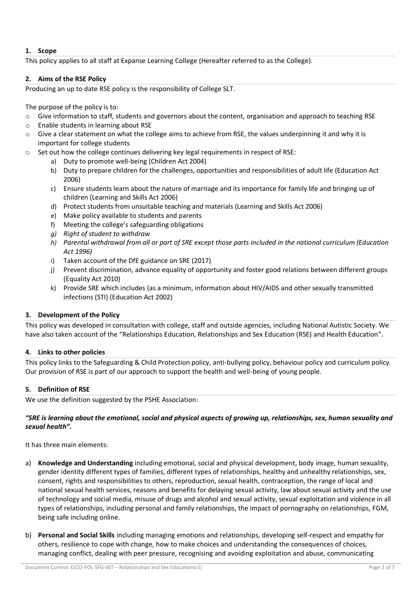# **1. Scope**

This policy applies to all staff at Expanse Learning College (Hereafter referred to as the College).

# **2. Aims of the RSE Policy**

Producing an up to date RSE policy is the responsibility of College SLT.

The purpose of the policy is to:

- o Give information to staff, students and governors about the content, organisation and approach to teaching RSE
- o Enable students in learning about RSE
- o Give a clear statement on what the college aims to achieve from RSE, the values underpinning it and why it is important for college students
- $\circ$  Set out how the college continues delivering key legal requirements in respect of RSE:
	- a) Duty to promote well-being (Children Act 2004)
	- b) Duty to prepare children for the challenges, opportunities and responsibilities of adult life (Education Act 2006)
	- c) Ensure students learn about the nature of marriage and its importance for family life and bringing up of children (Learning and Skills Act 2006)
	- d) Protect students from unsuitable teaching and materials (Learning and Skills Act 2006)
	- e) Make policy available to students and parents
	- f) Meeting the college's safeguarding obligations
	- *g) Right of student to withdraw*
	- *h) Parental withdrawal from all or part of SRE except those parts included in the national curriculum (Education Act 1996)*
	- i) Taken account of the DfE guidance on SRE (2017)
	- j) Prevent discrimination, advance equality of opportunity and foster good relations between different groups (Equality Act 2010)
	- k) Provide SRE which includes (as a minimum, information about HIV/AIDS and other sexually transmitted infections (STI) (Education Act 2002)

# **3. Development of the Policy**

This policy was developed in consultation with college, staff and outside agencies, including National Autistic Society. We have also taken account of the "Relationships Education, Relationships and Sex Education (RSE) and Health Education".

# **4. Links to other policies**

This policy links to the Safeguarding & Child Protection policy, anti-bullying policy, behaviour policy and curriculum policy. Our provision of RSE is part of our approach to support the health and well-being of young people.

# **5. Definition of RSE**

We use the definition suggested by the PSHE Association:

*"SRE is learning about the emotional, social and physical aspects of growing up, relationships, sex, human sexuality and sexual health".*

It has three main elements:

- a) **Knowledge and Understanding** including emotional, social and physical development, body image, human sexuality, gender identity different types of families, different types of relationships, healthy and unhealthy relationships, sex, consent, rights and responsibilities to others, reproduction, sexual health, contraception, the range of local and national sexual health services, reasons and benefits for delaying sexual activity, law about sexual activity and the use of technology and social media, misuse of drugs and alcohol and sexual activity, sexual exploitation and violence in all types of relationships, including personal and family relationships, the impact of pornography on relationships, FGM, being safe including online.
- b) **Personal and Social Skills** including managing emotions and relationships, developing self-respect and empathy for others, resilience to cope with change, how to make choices and understanding the consequences of choices, managing conflict, dealing with peer pressure, recognising and avoiding exploitation and abuse, communicating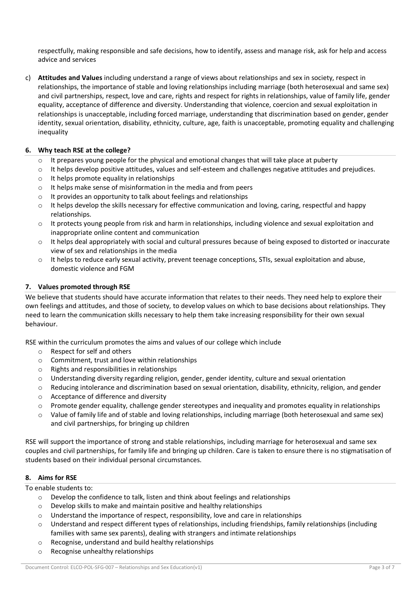respectfully, making responsible and safe decisions, how to identify, assess and manage risk, ask for help and access advice and services

c) **Attitudes and Values** including understand a range of views about relationships and sex in society, respect in relationships, the importance of stable and loving relationships including marriage (both heterosexual and same sex) and civil partnerships, respect, love and care, rights and respect for rights in relationships, value of family life, gender equality, acceptance of difference and diversity. Understanding that violence, coercion and sexual exploitation in relationships is unacceptable, including forced marriage, understanding that discrimination based on gender, gender identity, sexual orientation, disability, ethnicity, culture, age, faith is unacceptable, promoting equality and challenging inequality

#### **6. Why teach RSE at the college?**

- $\circ$  It prepares young people for the physical and emotional changes that will take place at puberty
- o It helps develop positive attitudes, values and self-esteem and challenges negative attitudes and prejudices.
- o It helps promote equality in relationships
- o It helps make sense of misinformation in the media and from peers
- o It provides an opportunity to talk about feelings and relationships
- $\circ$  It helps develop the skills necessary for effective communication and loving, caring, respectful and happy relationships.
- $\circ$  It protects young people from risk and harm in relationships, including violence and sexual exploitation and inappropriate online content and communication
- $\circ$  It helps deal appropriately with social and cultural pressures because of being exposed to distorted or inaccurate view of sex and relationships in the media
- o It helps to reduce early sexual activity, prevent teenage conceptions, STIs, sexual exploitation and abuse, domestic violence and FGM

#### **7. Values promoted through RSE**

We believe that students should have accurate information that relates to their needs. They need help to explore their own feelings and attitudes, and those of society, to develop values on which to base decisions about relationships. They need to learn the communication skills necessary to help them take increasing responsibility for their own sexual behaviour.

RSE within the curriculum promotes the aims and values of our college which include

- o Respect for self and others
- o Commitment, trust and love within relationships
- o Rights and responsibilities in relationships
- o Understanding diversity regarding religion, gender, gender identity, culture and sexual orientation
- $\circ$  Reducing intolerance and discrimination based on sexual orientation, disability, ethnicity, religion, and gender
- o Acceptance of difference and diversity
- $\circ$  Promote gender equality, challenge gender stereotypes and inequality and promotes equality in relationships
- o Value of family life and of stable and loving relationships, including marriage (both heterosexual and same sex) and civil partnerships, for bringing up children

RSE will support the importance of strong and stable relationships, including marriage for heterosexual and same sex couples and civil partnerships, for family life and bringing up children. Care is taken to ensure there is no stigmatisation of students based on their individual personal circumstances.

# **8. Aims for RSE**

To enable students to:

- o Develop the confidence to talk, listen and think about feelings and relationships
- o Develop skills to make and maintain positive and healthy relationships
- $\circ$  Understand the importance of respect, responsibility, love and care in relationships
- o Understand and respect different types of relationships, including friendships, family relationships (including families with same sex parents), dealing with strangers and intimate relationships
- o Recognise, understand and build healthy relationships
- o Recognise unhealthy relationships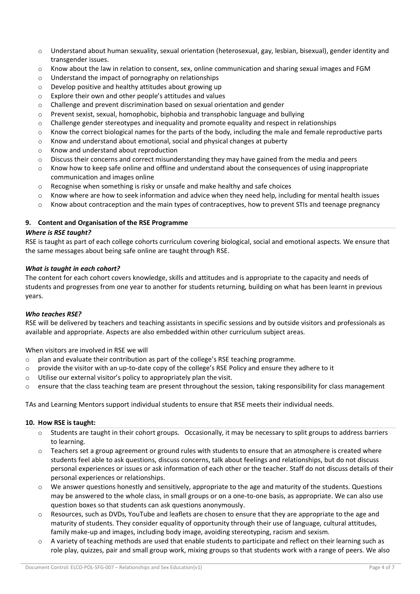- $\circ$  Understand about human sexuality, sexual orientation (heterosexual, gay, lesbian, bisexual), gender identity and transgender issues.
- $\circ$  Know about the law in relation to consent, sex, online communication and sharing sexual images and FGM
- o Understand the impact of pornography on relationships
- o Develop positive and healthy attitudes about growing up
- o Explore their own and other people's attitudes and values
- o Challenge and prevent discrimination based on sexual orientation and gender
- $\circ$  Prevent sexist, sexual, homophobic, biphobia and transphobic language and bullying
- $\circ$  Challenge gender stereotypes and inequality and promote equality and respect in relationships
- $\circ$  Know the correct biological names for the parts of the body, including the male and female reproductive parts
- $\circ$  Know and understand about emotional, social and physical changes at puberty
- o Know and understand about reproduction
- $\circ$  Discuss their concerns and correct misunderstanding they may have gained from the media and peers
- $\circ$  Know how to keep safe online and offline and understand about the consequences of using inappropriate communication and images online
- $\circ$  Recognise when something is risky or unsafe and make healthy and safe choices
- $\circ$  Know where are how to seek information and advice when they need help, including for mental health issues
- $\circ$  Know about contraception and the main types of contraceptives, how to prevent STIs and teenage pregnancy

# **9. Content and Organisation of the RSE Programme**

#### *Where is RSE taught?*

RSE is taught as part of each college cohorts curriculum covering biological, social and emotional aspects. We ensure that the same messages about being safe online are taught through RSE.

#### *What is taught in each cohort?*

The content for each cohort covers knowledge, skills and attitudes and is appropriate to the capacity and needs of students and progresses from one year to another for students returning, building on what has been learnt in previous years.

#### *Who teaches RSE?*

RSE will be delivered by teachers and teaching assistants in specific sessions and by outside visitors and professionals as available and appropriate. Aspects are also embedded within other curriculum subject areas.

When visitors are involved in RSE we will

- $\circ$  plan and evaluate their contribution as part of the college's RSE teaching programme.
- $\circ$  provide the visitor with an up-to-date copy of the college's RSE Policy and ensure they adhere to it
- o Utilise our external visitor's policy to appropriately plan the visit.
- $\circ$  ensure that the class teaching team are present throughout the session, taking responsibility for class management

TAs and Learning Mentors support individual students to ensure that RSE meets their individual needs.

#### **10. How RSE is taught:**

- $\circ$  Students are taught in their cohort groups. Occasionally, it may be necessary to split groups to address barriers to learning.
- $\circ$  Teachers set a group agreement or ground rules with students to ensure that an atmosphere is created where students feel able to ask questions, discuss concerns, talk about feelings and relationships, but do not discuss personal experiences or issues or ask information of each other or the teacher. Staff do not discuss details of their personal experiences or relationships.
- $\circ$  We answer questions honestly and sensitively, appropriate to the age and maturity of the students. Questions may be answered to the whole class, in small groups or on a one-to-one basis, as appropriate. We can also use question boxes so that students can ask questions anonymously.
- o Resources, such as DVDs, YouTube and leaflets are chosen to ensure that they are appropriate to the age and maturity of students. They consider equality of opportunity through their use of language, cultural attitudes, family make-up and images, including body image, avoiding stereotyping, racism and sexism.
- A variety of teaching methods are used that enable students to participate and reflect on their learning such as role play, quizzes, pair and small group work, mixing groups so that students work with a range of peers. We also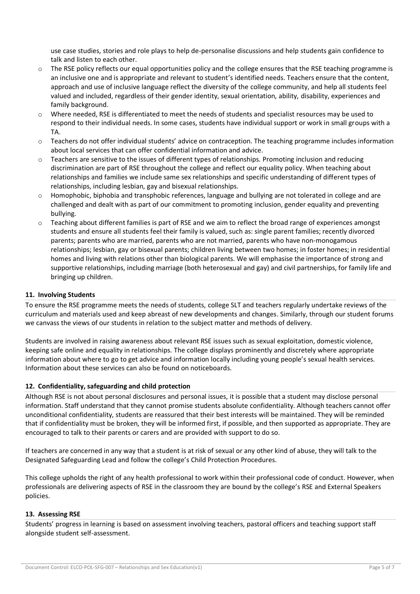use case studies, stories and role plays to help de-personalise discussions and help students gain confidence to talk and listen to each other.

- $\circ$  The RSE policy reflects our equal opportunities policy and the college ensures that the RSE teaching programme is an inclusive one and is appropriate and relevant to student's identified needs. Teachers ensure that the content, approach and use of inclusive language reflect the diversity of the college community, and help all students feel valued and included, regardless of their gender identity, sexual orientation, ability, disability, experiences and family background.
- Where needed, RSE is differentiated to meet the needs of students and specialist resources may be used to respond to their individual needs. In some cases, students have individual support or work in small groups with a TA.
- o Teachers do not offer individual students' advice on contraception. The teaching programme includes information about local services that can offer confidential information and advice.
- $\circ$  Teachers are sensitive to the issues of different types of relationships. Promoting inclusion and reducing discrimination are part of RSE throughout the college and reflect our equality policy. When teaching about relationships and families we include same sex relationships and specific understanding of different types of relationships, including lesbian, gay and bisexual relationships.
- Homophobic, biphobia and transphobic references, language and bullying are not tolerated in college and are challenged and dealt with as part of our commitment to promoting inclusion, gender equality and preventing bullying.
- $\circ$  Teaching about different families is part of RSE and we aim to reflect the broad range of experiences amongst students and ensure all students feel their family is valued, such as: single parent families; recently divorced parents; parents who are married, parents who are not married, parents who have non-monogamous relationships; lesbian, gay or bisexual parents; children living between two homes; in foster homes; in residential homes and living with relations other than biological parents. We will emphasise the importance of strong and supportive relationships, including marriage (both heterosexual and gay) and civil partnerships, for family life and bringing up children.

### **11. Involving Students**

To ensure the RSE programme meets the needs of students, college SLT and teachers regularly undertake reviews of the curriculum and materials used and keep abreast of new developments and changes. Similarly, through our student forums we canvass the views of our students in relation to the subject matter and methods of delivery.

Students are involved in raising awareness about relevant RSE issues such as sexual exploitation, domestic violence, keeping safe online and equality in relationships. The college displays prominently and discretely where appropriate information about where to go to get advice and information locally including young people's sexual health services. Information about these services can also be found on noticeboards.

#### **12. Confidentiality, safeguarding and child protection**

Although RSE is not about personal disclosures and personal issues, it is possible that a student may disclose personal information. Staff understand that they cannot promise students absolute confidentiality. Although teachers cannot offer unconditional confidentiality, students are reassured that their best interests will be maintained. They will be reminded that if confidentiality must be broken, they will be informed first, if possible, and then supported as appropriate. They are encouraged to talk to their parents or carers and are provided with support to do so.

If teachers are concerned in any way that a student is at risk of sexual or any other kind of abuse, they will talk to the Designated Safeguarding Lead and follow the college's Child Protection Procedures.

This college upholds the right of any health professional to work within their professional code of conduct. However, when professionals are delivering aspects of RSE in the classroom they are bound by the college's RSE and External Speakers policies.

#### **13. Assessing RSE**

Students' progress in learning is based on assessment involving teachers, pastoral officers and teaching support staff alongside student self-assessment.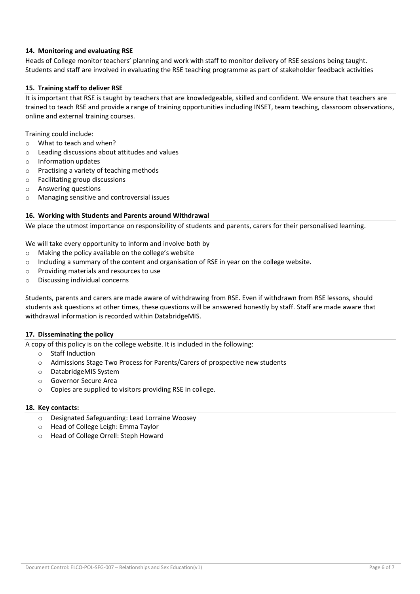# **14. Monitoring and evaluating RSE**

Heads of College monitor teachers' planning and work with staff to monitor delivery of RSE sessions being taught. Students and staff are involved in evaluating the RSE teaching programme as part of stakeholder feedback activities

#### **15. Training staff to deliver RSE**

It is important that RSE is taught by teachers that are knowledgeable, skilled and confident. We ensure that teachers are trained to teach RSE and provide a range of training opportunities including INSET, team teaching, classroom observations, online and external training courses.

Training could include:

- o What to teach and when?
- o Leading discussions about attitudes and values
- o Information updates
- o Practising a variety of teaching methods
- o Facilitating group discussions
- o Answering questions
- o Managing sensitive and controversial issues

#### **16. Working with Students and Parents around Withdrawal**

We place the utmost importance on responsibility of students and parents, carers for their personalised learning.

We will take every opportunity to inform and involve both by

- o Making the policy available on the college's website
- $\circ$  Including a summary of the content and organisation of RSE in year on the college website.
- o Providing materials and resources to use
- o Discussing individual concerns

Students, parents and carers are made aware of withdrawing from RSE. Even if withdrawn from RSE lessons, should students ask questions at other times, these questions will be answered honestly by staff. Staff are made aware that withdrawal information is recorded within DatabridgeMIS.

#### **17. Disseminating the policy**

A copy of this policy is on the college website. It is included in the following:

- o Staff Induction
- o Admissions Stage Two Process for Parents/Carers of prospective new students
- o DatabridgeMIS System
- o Governor Secure Area
- o Copies are supplied to visitors providing RSE in college.

#### **18. Key contacts:**

- o Designated Safeguarding: Lead Lorraine Woosey
- o Head of College Leigh: Emma Taylor
- o Head of College Orrell: Steph Howard